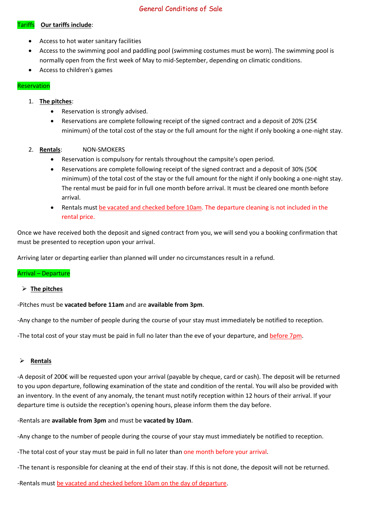# General Conditions of Sale

## Tariffs **Our tariffs include**:

- Access to hot water sanitary facilities
- Access to the swimming pool and paddling pool (swimming costumes must be worn). The swimming pool is normally open from the first week of May to mid-September, depending on climatic conditions.
- Access to children's games

## Reservation

## 1. **The pitches**:

- Reservation is strongly advised.
- Reservations are complete following receipt of the signed contract and a deposit of 20% (25 $\epsilon$ minimum) of the total cost of the stay or the full amount for the night if only booking a one-night stay.
- 2. **Rentals**: NON-SMOKERS
	- Reservation is compulsory for rentals throughout the campsite's open period.
	- Reservations are complete following receipt of the signed contract and a deposit of 30% (50 $\epsilon$ minimum) of the total cost of the stay or the full amount for the night if only booking a one-night stay. The rental must be paid for in full one month before arrival. It must be cleared one month before arrival.
	- Rentals must be vacated and checked before 10am. The departure cleaning is not included in the rental price.

Once we have received both the deposit and signed contract from you, we will send you a booking confirmation that must be presented to reception upon your arrival.

Arriving later or departing earlier than planned will under no circumstances result in a refund.

### Arrival – Departure

### ➢ **The pitches**

-Pitches must be **vacated before 11am** and are **available from 3pm**.

-Any change to the number of people during the course of your stay must immediately be notified to reception.

-The total cost of your stay must be paid in full no later than the eve of your departure, and before 7pm.

## ➢ **Rentals**

-A deposit of 200€ will be requested upon your arrival (payable by cheque, card or cash). The deposit will be returned to you upon departure, following examination of the state and condition of the rental. You will also be provided with an inventory. In the event of any anomaly, the tenant must notify reception within 12 hours of their arrival. If your departure time is outside the reception's opening hours, please inform them the day before.

-Rentals are **available from 3pm** and must be **vacated by 10am**.

-Any change to the number of people during the course of your stay must immediately be notified to reception.

-The total cost of your stay must be paid in full no later than one month before your arrival.

-The tenant is responsible for cleaning at the end of their stay. If this is not done, the deposit will not be returned.

-Rentals must be vacated and checked before 10am on the day of departure.